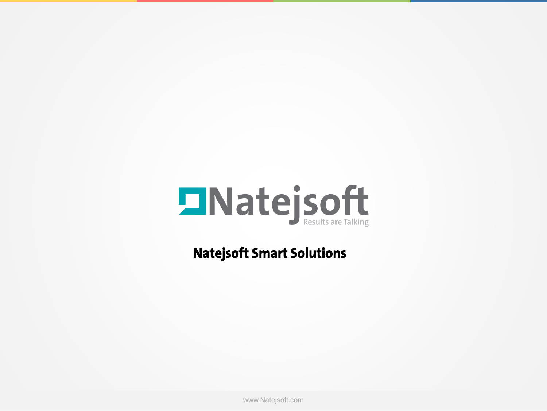

**Natejsoft Smart Solutions**

www.Natejsoft.com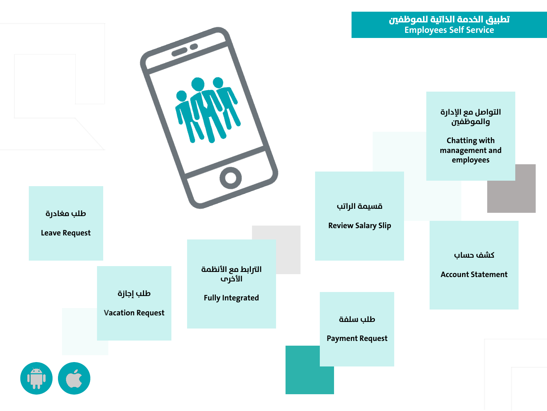**التواصل مع اإلدارة والموظفني**

**Chatting with management and employees**

**قسيمة الراتب**

**Review Salary Slip**

**كشف حساب**

**Account Statement**

**طلب سلفة**

**Payment Request**



**الرتابط مع األنظمة األخرى**

**Fully Integrated**

**طلب مغادرة**

**Leave Request**

**طلب إجازة Vacation Request**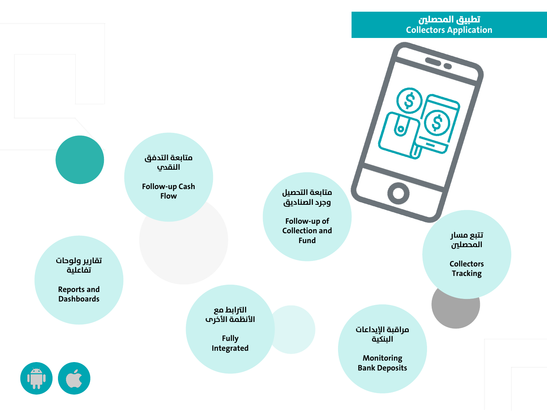## **تطبيق المحصلني Collectors Application**

**متابعة التحصيل وجرد الصناديق**

**Follow-up of Collection and Fund**

**تتتبع مسار المحصلني**

**Collectors Tracking**

**مراقبة اإليداعات البنكية**

**Monitoring Bank Deposits**

**متابعة التدفق النقدي**

**Follow-up Cash Flow**

> **الرتابط مع األنظمة األخرى**

> > **Fully Integrated**

**تقاريرر ولوحات تفاعلية**

**Reports and Dashboards**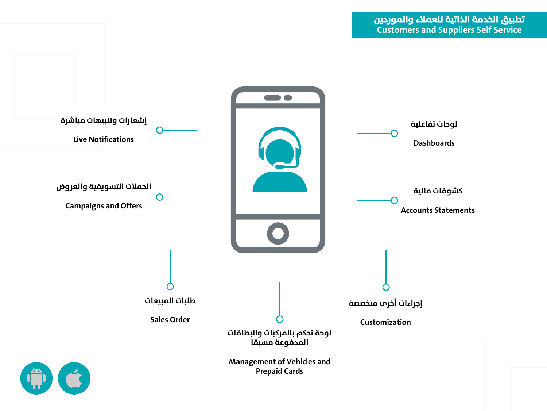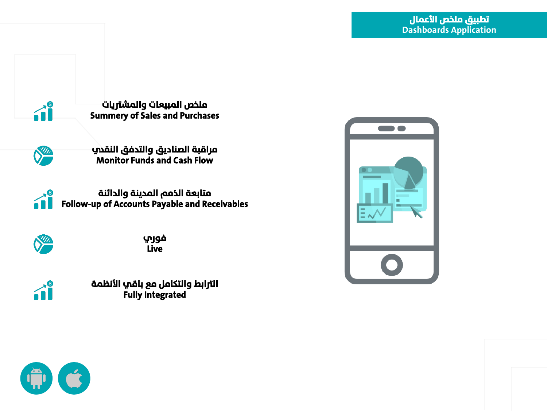

**ملخص المبيعات والمشرتيات Summery of Sales and Purchases**



**مراقبة الصناديق والتدفق النقدي Monitor Funds and Cash Flow**



**متابعة الذمم المدينة والدائنة Follow-up of Accounts Payable and Receivables**



**فوري Live**



**الرتابط والتركامل مع باقي األنظمة Fully Integrated**



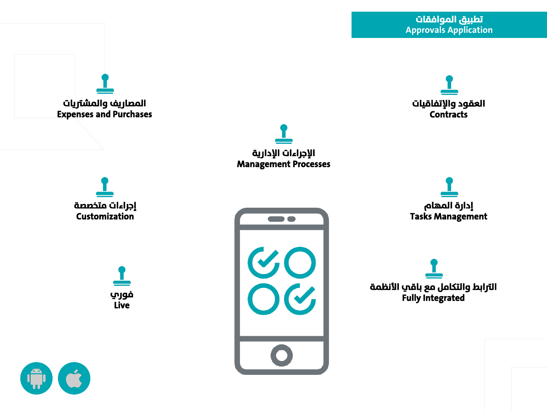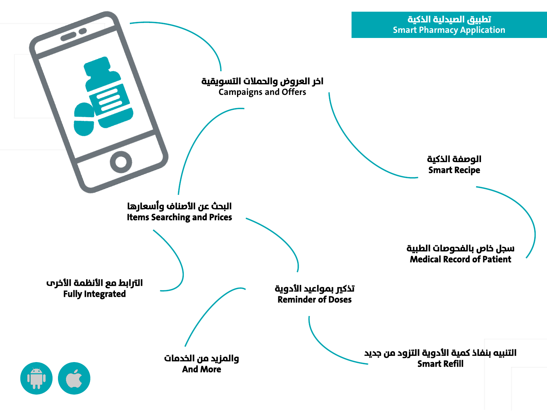**اخر العروض والحمالت التسويقية Campaigns and Offers**

> **الوصفة الذكية Smart Recipe**

**البحث عن األصناف وأسعارها Items Searching and Prices**

**والمزيد من الخدمات**

**And More**

**سجل خاص بالفحوصات الطبية Medical Record of Patient**

**التنبيه بنفاذ كمية األدوية التزود من جديد**

**Smart** Refill

**تذكري بمواعيد األدوية Reminder of Doses**

**الرتابط مع األنظمة األخرى Fully Integrated**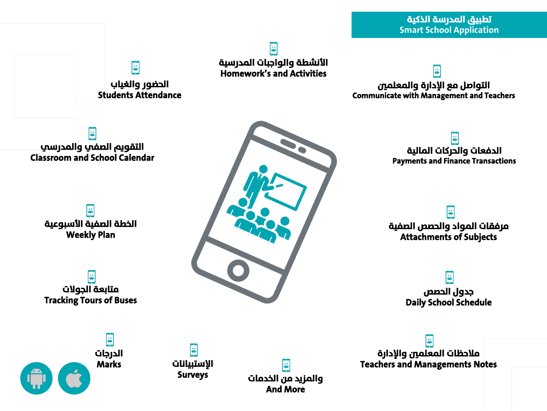lä **األنشطة والواجبات المدرسية Homework's and Activities**

**التواصل مع اإلدارة والمعلمني Communicate with Management and Teachers**

8 **التقويم الصفي والمدرسي Classroom and School Calendar**

**الحضور والغياب Students Attendance**

<u>is</u>

ö **الخطة الصفية األسبوعية Weekly Plan**

is<br> **متابعة الجوالت Tracking Tours of Buses**

> <u>is</u> **الدرجات Marks**

**اإلستبيانات Surveys**

<u>is</u>



**والمزيد من الخدمات And More**

**i** 

**الدفعات والحركات المالية Payments and Finance Transactions**

 $\ddot{\bullet}$ **مرفقات المواد والحصص الصفية Attachments of Subjects**

> ë **جدول الحصص Daily School Schedule**

**مالحظات المعلمني واإلدارة Teachers and Managements Notes**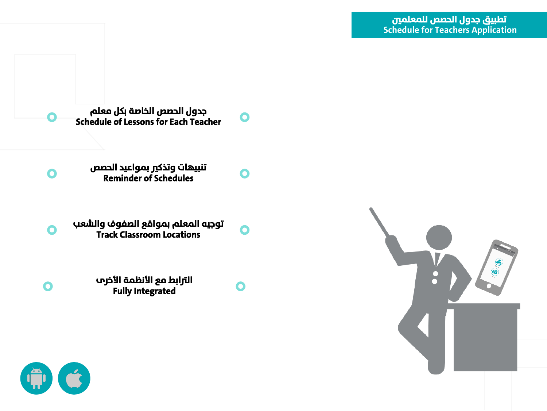**جدول الحصص الخاصة بكل معلم Schedule of Lessons for Each Teacher**

**تنبيهات وتذكري بمواعيد الحصص Reminder of Schedules**

**توجيه المعلم بمواقع الصفوف والشعب Track Classroom Locations**

> **الرتابط مع األنظمة األخرى Fully Integrated**



 $\bullet$ 

 $\bullet$ 

 $\bullet$ 





 $\bullet$ 

 $\bullet$ 

 $\bullet$ 

 $\bullet$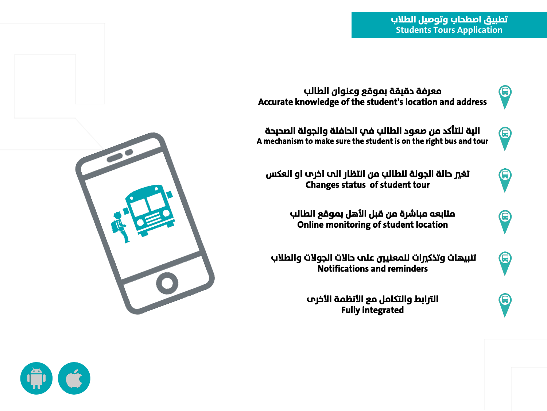**تطبيق اصطحاب وتوصيل الطالب Students Tours Application**



 $\bm{\Theta}$ 

**معرفة دقيقة بموقع وعنوان الطالب Accurate knowledge of the student's location and address**

**الية للتر كد من صعود الطالب في الحافلة والجولة الصحيحة A mechanism to make sure the student is on the right bus and tour**



 $\bm\Theta$ 

 $\bm{\Theta}$ 

 $\bm{\Theta}$ 

**تغري حالة الجولة للطالب من انتظار الى اخرى او العكس Changes status of student tour**

> **متابعه مباشرة من قبل األهل بموقع الطالب Online monitoring of student location**

**تنبيهات وتذكريات للمعنيتني على حاالت الجوالت والطالب Notifications and reminders**

> **الرتابط والتركامل مع األنظمة األخرى Fully integrated**



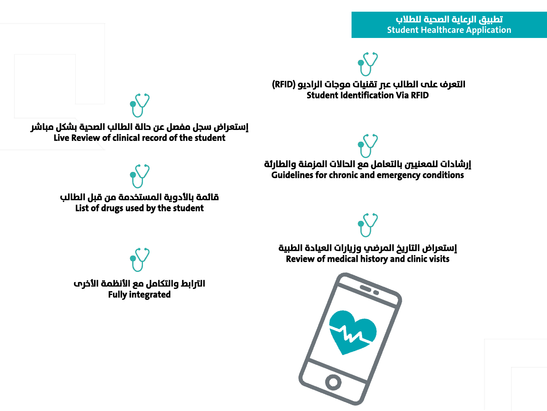**التعرف على الطالب عرب تقنيات موجات الراديو )RFID ) Student Identification Via RFID**

**إستعراض سجل مفصل عن حالة الطالب الصحية بشكل مباشر Live Review of clinical record of the student**

> **إرشادات للمعنيتني بالتعامل مع الحاالت المزمنة والطارئة Guidelines for chronic and emergency conditions**

**قائمة باألدوية المستخدمة من قبل الطالب List of drugs used by the student**

> **إستعراض التارير المرضي وزيارات العيادة الطبية Review of medical history and clinic visits**



**الرتابط والتركامل مع األنظمة األخرى Fully integrated**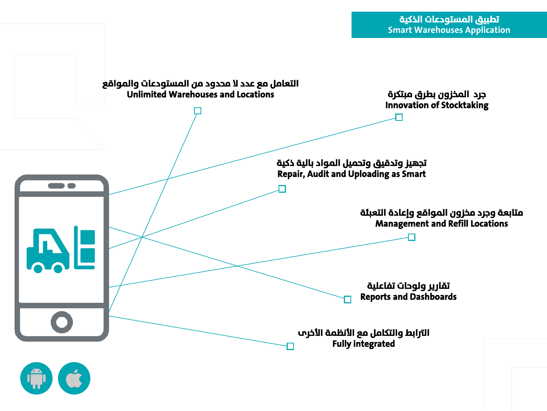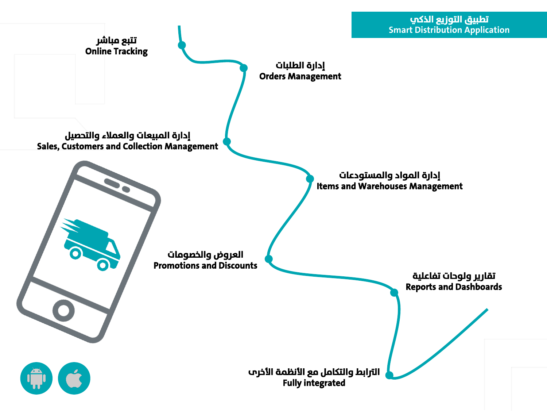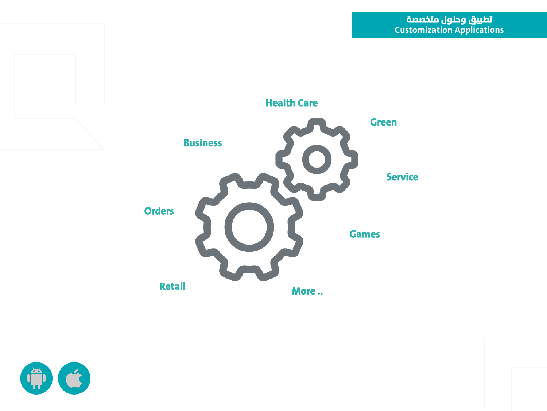